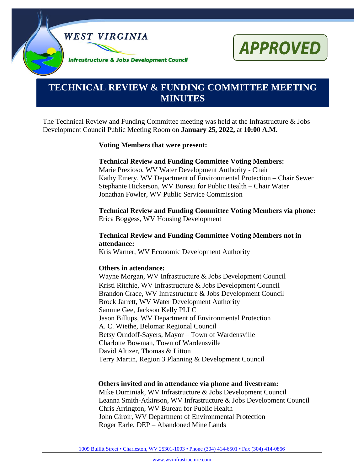



# **TECHNICAL REVIEW & FUNDING COMMITTEE MEETING MINUTES**

The Technical Review and Funding Committee meeting was held at the Infrastructure & Jobs Development Council Public Meeting Room on **January 25, 2022,** at **10:00 A.M.**

#### **Voting Members that were present:**

#### **Technical Review and Funding Committee Voting Members:**

Marie Prezioso, WV Water Development Authority - Chair Kathy Emery, WV Department of Environmental Protection – Chair Sewer Stephanie Hickerson, WV Bureau for Public Health – Chair Water Jonathan Fowler, WV Public Service Commission

**Technical Review and Funding Committee Voting Members via phone:** Erica Boggess, WV Housing Development

#### **Technical Review and Funding Committee Voting Members not in attendance:**

Kris Warner, WV Economic Development Authority

#### **Others in attendance:**

Wayne Morgan, WV Infrastructure & Jobs Development Council Kristi Ritchie, WV Infrastructure & Jobs Development Council Brandon Crace, WV Infrastructure & Jobs Development Council Brock Jarrett, WV Water Development Authority Samme Gee, Jackson Kelly PLLC Jason Billups, WV Department of Environmental Protection A. C. Wiethe, Belomar Regional Council Betsy Orndoff-Sayers, Mayor – Town of Wardensville Charlotte Bowman, Town of Wardensville David Altizer, Thomas & Litton Terry Martin, Region 3 Planning & Development Council

#### **Others invited and in attendance via phone and livestream:**

Mike Duminiak, WV Infrastructure & Jobs Development Council Leanna Smith-Atkinson, WV Infrastructure & Jobs Development Council Chris Arrington, WV Bureau for Public Health John Giroir, WV Department of Environmental Protection Roger Earle, DEP – Abandoned Mine Lands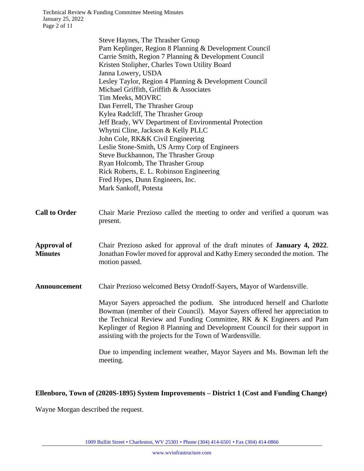|                                      | Steve Haynes, The Thrasher Group<br>Pam Keplinger, Region 8 Planning & Development Council<br>Carrie Smith, Region 7 Planning & Development Council<br>Kristen Stolipher, Charles Town Utility Board<br>Janna Lowery, USDA<br>Lesley Taylor, Region 4 Planning & Development Council<br>Michael Griffith, Griffith & Associates<br>Tim Meeks, MOVRC<br>Dan Ferrell, The Thrasher Group<br>Kylea Radcliff, The Thrasher Group<br>Jeff Brady, WV Department of Environmental Protection<br>Whytni Cline, Jackson & Kelly PLLC<br>John Cole, RK&K Civil Engineering<br>Leslie Stone-Smith, US Army Corp of Engineers<br>Steve Buckhannon, The Thrasher Group<br>Ryan Holcomb, The Thrasher Group<br>Rick Roberts, E. L. Robinson Engineering<br>Fred Hypes, Dunn Engineers, Inc.<br>Mark Sankoff, Potesta |
|--------------------------------------|--------------------------------------------------------------------------------------------------------------------------------------------------------------------------------------------------------------------------------------------------------------------------------------------------------------------------------------------------------------------------------------------------------------------------------------------------------------------------------------------------------------------------------------------------------------------------------------------------------------------------------------------------------------------------------------------------------------------------------------------------------------------------------------------------------|
| <b>Call to Order</b>                 | Chair Marie Prezioso called the meeting to order and verified a quorum was<br>present.                                                                                                                                                                                                                                                                                                                                                                                                                                                                                                                                                                                                                                                                                                                 |
| <b>Approval of</b><br><b>Minutes</b> | Chair Prezioso asked for approval of the draft minutes of January 4, 2022.<br>Jonathan Fowler moved for approval and Kathy Emery seconded the motion. The<br>motion passed.                                                                                                                                                                                                                                                                                                                                                                                                                                                                                                                                                                                                                            |
| <b>Announcement</b>                  | Chair Prezioso welcomed Betsy Orndoff-Sayers, Mayor of Wardensville.                                                                                                                                                                                                                                                                                                                                                                                                                                                                                                                                                                                                                                                                                                                                   |
|                                      | Mayor Sayers approached the podium. She introduced herself and Charlotte<br>Bowman (member of their Council). Mayor Sayers offered her appreciation to<br>the Technical Review and Funding Committee, RK & K Engineers and Pam<br>Keplinger of Region 8 Planning and Development Council for their support in<br>assisting with the projects for the Town of Wardensville.                                                                                                                                                                                                                                                                                                                                                                                                                             |
|                                      | Due to impending inclement weather, Mayor Sayers and Ms. Bowman left the<br>meeting.                                                                                                                                                                                                                                                                                                                                                                                                                                                                                                                                                                                                                                                                                                                   |

# **Ellenboro, Town of (2020S-1895) System Improvements – District 1 (Cost and Funding Change)**

Wayne Morgan described the request.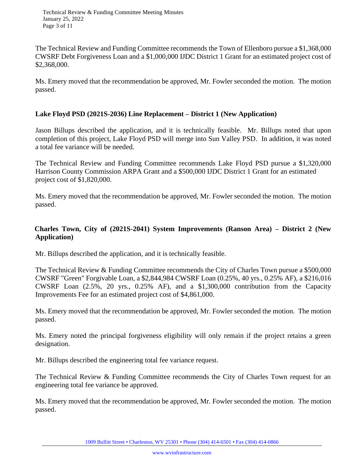Technical Review & Funding Committee Meeting Minutes January 25, 2022 Page 3 of 11

The Technical Review and Funding Committee recommends the Town of Ellenboro pursue a \$1,368,000 CWSRF Debt Forgiveness Loan and a \$1,000,000 IJDC District 1 Grant for an estimated project cost of \$2,368,000.

Ms. Emery moved that the recommendation be approved, Mr. Fowler seconded the motion. The motion passed.

### **Lake Floyd PSD (2021S-2036) Line Replacement – District 1 (New Application)**

Jason Billups described the application, and it is technically feasible. Mr. Billups noted that upon completion of this project, Lake Floyd PSD will merge into Sun Valley PSD. In addition, it was noted a total fee variance will be needed.

The Technical Review and Funding Committee recommends Lake Floyd PSD pursue a \$1,320,000 Harrison County Commission ARPA Grant and a \$500,000 IJDC District 1 Grant for an estimated project cost of \$1,820,000.

Ms. Emery moved that the recommendation be approved, Mr. Fowler seconded the motion. The motion passed.

### **Charles Town, City of (2021S-2041) System Improvements (Ranson Area) – District 2 (New Application)**

Mr. Billups described the application, and it is technically feasible.

The Technical Review & Funding Committee recommends the City of Charles Town pursue a \$500,000 CWSRF "Green" Forgivable Loan, a \$2,844,984 CWSRF Loan (0.25%, 40 yrs., 0.25% AF), a \$216,016 CWSRF Loan (2.5%, 20 yrs., 0.25% AF), and a \$1,300,000 contribution from the Capacity Improvements Fee for an estimated project cost of \$4,861,000.

Ms. Emery moved that the recommendation be approved, Mr. Fowler seconded the motion. The motion passed.

Ms. Emery noted the principal forgiveness eligibility will only remain if the project retains a green designation.

Mr. Billups described the engineering total fee variance request.

The Technical Review & Funding Committee recommends the City of Charles Town request for an engineering total fee variance be approved.

Ms. Emery moved that the recommendation be approved, Mr. Fowler seconded the motion. The motion passed.

1009 Bullitt Street • Charleston, WV 25301 • Phone (304) 414-6501 • Fax (304) 414-0866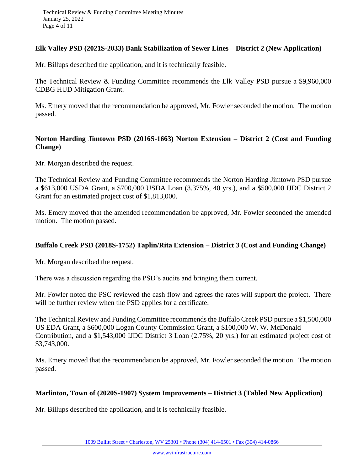#### **Elk Valley PSD (2021S-2033) Bank Stabilization of Sewer Lines – District 2 (New Application)**

Mr. Billups described the application, and it is technically feasible.

The Technical Review & Funding Committee recommends the Elk Valley PSD pursue a \$9,960,000 CDBG HUD Mitigation Grant.

Ms. Emery moved that the recommendation be approved, Mr. Fowler seconded the motion. The motion passed.

### **Norton Harding Jimtown PSD (2016S-1663) Norton Extension – District 2 (Cost and Funding Change)**

Mr. Morgan described the request.

The Technical Review and Funding Committee recommends the Norton Harding Jimtown PSD pursue a \$613,000 USDA Grant, a \$700,000 USDA Loan (3.375%, 40 yrs.), and a \$500,000 IJDC District 2 Grant for an estimated project cost of \$1,813,000.

Ms. Emery moved that the amended recommendation be approved, Mr. Fowler seconded the amended motion. The motion passed.

### **Buffalo Creek PSD (2018S-1752) Taplin/Rita Extension – District 3 (Cost and Funding Change)**

Mr. Morgan described the request.

There was a discussion regarding the PSD's audits and bringing them current.

Mr. Fowler noted the PSC reviewed the cash flow and agrees the rates will support the project. There will be further review when the PSD applies for a certificate.

The Technical Review and Funding Committee recommends the Buffalo Creek PSD pursue a \$1,500,000 US EDA Grant, a \$600,000 Logan County Commission Grant, a \$100,000 W. W. McDonald Contribution, and a \$1,543,000 IJDC District 3 Loan (2.75%, 20 yrs.) for an estimated project cost of \$3,743,000.

Ms. Emery moved that the recommendation be approved, Mr. Fowler seconded the motion. The motion passed.

#### **Marlinton, Town of (2020S-1907) System Improvements – District 3 (Tabled New Application)**

Mr. Billups described the application, and it is technically feasible.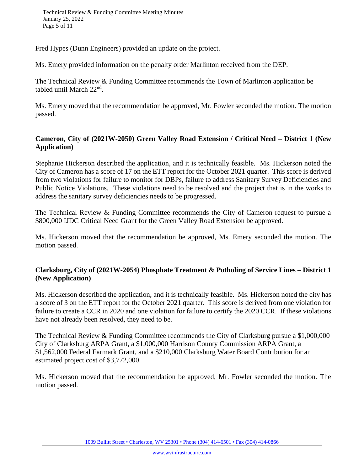Fred Hypes (Dunn Engineers) provided an update on the project.

Ms. Emery provided information on the penalty order Marlinton received from the DEP.

The Technical Review & Funding Committee recommends the Town of Marlinton application be tabled until March 22<sup>nd</sup>.

Ms. Emery moved that the recommendation be approved, Mr. Fowler seconded the motion. The motion passed.

### **Cameron, City of (2021W-2050) Green Valley Road Extension / Critical Need – District 1 (New Application)**

Stephanie Hickerson described the application, and it is technically feasible. Ms. Hickerson noted the City of Cameron has a score of 17 on the ETT report for the October 2021 quarter. This score is derived from two violations for failure to monitor for DBPs, failure to address Sanitary Survey Deficiencies and Public Notice Violations. These violations need to be resolved and the project that is in the works to address the sanitary survey deficiencies needs to be progressed.

The Technical Review & Funding Committee recommends the City of Cameron request to pursue a \$800,000 IJDC Critical Need Grant for the Green Valley Road Extension be approved.

Ms. Hickerson moved that the recommendation be approved, Ms. Emery seconded the motion. The motion passed.

### **Clarksburg, City of (2021W-2054) Phosphate Treatment & Potholing of Service Lines – District 1 (New Application)**

Ms. Hickerson described the application, and it is technically feasible. Ms. Hickerson noted the city has a score of 3 on the ETT report for the October 2021 quarter. This score is derived from one violation for failure to create a CCR in 2020 and one violation for failure to certify the 2020 CCR. If these violations have not already been resolved, they need to be.

The Technical Review & Funding Committee recommends the City of Clarksburg pursue a \$1,000,000 City of Clarksburg ARPA Grant, a \$1,000,000 Harrison County Commission ARPA Grant, a \$1,562,000 Federal Earmark Grant, and a \$210,000 Clarksburg Water Board Contribution for an estimated project cost of \$3,772,000.

Ms. Hickerson moved that the recommendation be approved, Mr. Fowler seconded the motion. The motion passed.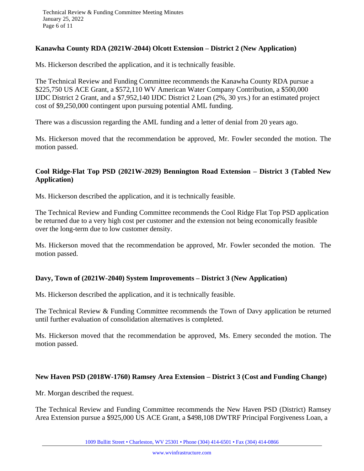### **Kanawha County RDA (2021W-2044) Olcott Extension – District 2 (New Application)**

Ms. Hickerson described the application, and it is technically feasible.

The Technical Review and Funding Committee recommends the Kanawha County RDA pursue a \$225,750 US ACE Grant, a \$572,110 WV American Water Company Contribution, a \$500,000 IJDC District 2 Grant, and a \$7,952,140 IJDC District 2 Loan (2%, 30 yrs.) for an estimated project cost of \$9,250,000 contingent upon pursuing potential AML funding.

There was a discussion regarding the AML funding and a letter of denial from 20 years ago.

Ms. Hickerson moved that the recommendation be approved, Mr. Fowler seconded the motion. The motion passed.

### **Cool Ridge-Flat Top PSD (2021W-2029) Bennington Road Extension – District 3 (Tabled New Application)**

Ms. Hickerson described the application, and it is technically feasible.

The Technical Review and Funding Committee recommends the Cool Ridge Flat Top PSD application be returned due to a very high cost per customer and the extension not being economically feasible over the long-term due to low customer density.

Ms. Hickerson moved that the recommendation be approved, Mr. Fowler seconded the motion. The motion passed.

### **Davy, Town of (2021W-2040) System Improvements – District 3 (New Application)**

Ms. Hickerson described the application, and it is technically feasible.

The Technical Review & Funding Committee recommends the Town of Davy application be returned until further evaluation of consolidation alternatives is completed.

Ms. Hickerson moved that the recommendation be approved, Ms. Emery seconded the motion. The motion passed.

#### **New Haven PSD (2018W-1760) Ramsey Area Extension – District 3 (Cost and Funding Change)**

Mr. Morgan described the request.

The Technical Review and Funding Committee recommends the New Haven PSD (District) Ramsey Area Extension pursue a \$925,000 US ACE Grant, a \$498,108 DWTRF Principal Forgiveness Loan, a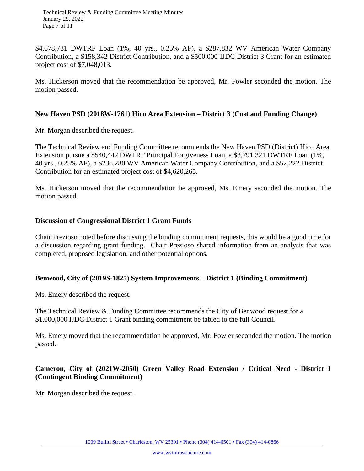Technical Review & Funding Committee Meeting Minutes January 25, 2022 Page 7 of 11

\$4,678,731 DWTRF Loan (1%, 40 yrs., 0.25% AF), a \$287,832 WV American Water Company Contribution, a \$158,342 District Contribution, and a \$500,000 IJDC District 3 Grant for an estimated project cost of \$7,048,013.

Ms. Hickerson moved that the recommendation be approved, Mr. Fowler seconded the motion. The motion passed.

#### **New Haven PSD (2018W-1761) Hico Area Extension – District 3 (Cost and Funding Change)**

Mr. Morgan described the request.

The Technical Review and Funding Committee recommends the New Haven PSD (District) Hico Area Extension pursue a \$540,442 DWTRF Principal Forgiveness Loan, a \$3,791,321 DWTRF Loan (1%, 40 yrs., 0.25% AF), a \$236,280 WV American Water Company Contribution, and a \$52,222 District Contribution for an estimated project cost of \$4,620,265.

Ms. Hickerson moved that the recommendation be approved, Ms. Emery seconded the motion. The motion passed.

#### **Discussion of Congressional District 1 Grant Funds**

Chair Prezioso noted before discussing the binding commitment requests, this would be a good time for a discussion regarding grant funding. Chair Prezioso shared information from an analysis that was completed, proposed legislation, and other potential options.

#### **Benwood, City of (2019S-1825) System Improvements – District 1 (Binding Commitment)**

Ms. Emery described the request.

The Technical Review & Funding Committee recommends the City of Benwood request for a \$1,000,000 IJDC District 1 Grant binding commitment be tabled to the full Council.

Ms. Emery moved that the recommendation be approved, Mr. Fowler seconded the motion. The motion passed.

### **Cameron, City of (2021W-2050) Green Valley Road Extension / Critical Need - District 1 (Contingent Binding Commitment)**

Mr. Morgan described the request.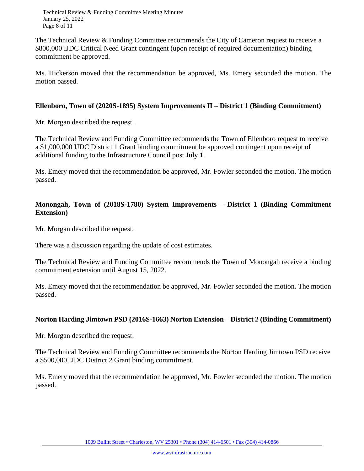Technical Review & Funding Committee Meeting Minutes January 25, 2022 Page 8 of 11

The Technical Review & Funding Committee recommends the City of Cameron request to receive a \$800,000 IJDC Critical Need Grant contingent (upon receipt of required documentation) binding commitment be approved.

Ms. Hickerson moved that the recommendation be approved, Ms. Emery seconded the motion. The motion passed.

### **Ellenboro, Town of (2020S-1895) System Improvements II – District 1 (Binding Commitment)**

Mr. Morgan described the request.

The Technical Review and Funding Committee recommends the Town of Ellenboro request to receive a \$1,000,000 IJDC District 1 Grant binding commitment be approved contingent upon receipt of additional funding to the Infrastructure Council post July 1.

Ms. Emery moved that the recommendation be approved, Mr. Fowler seconded the motion. The motion passed.

## **Monongah, Town of (2018S-1780) System Improvements – District 1 (Binding Commitment Extension)**

Mr. Morgan described the request.

There was a discussion regarding the update of cost estimates.

The Technical Review and Funding Committee recommends the Town of Monongah receive a binding commitment extension until August 15, 2022.

Ms. Emery moved that the recommendation be approved, Mr. Fowler seconded the motion. The motion passed.

# **Norton Harding Jimtown PSD (2016S-1663) Norton Extension – District 2 (Binding Commitment)**

Mr. Morgan described the request.

The Technical Review and Funding Committee recommends the Norton Harding Jimtown PSD receive a \$500,000 IJDC District 2 Grant binding commitment.

Ms. Emery moved that the recommendation be approved, Mr. Fowler seconded the motion. The motion passed.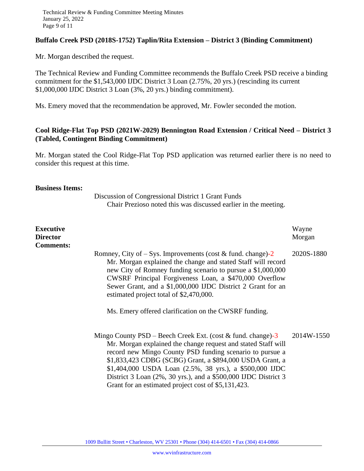### **Buffalo Creek PSD (2018S-1752) Taplin/Rita Extension – District 3 (Binding Commitment)**

Mr. Morgan described the request.

The Technical Review and Funding Committee recommends the Buffalo Creek PSD receive a binding commitment for the \$1,543,000 IJDC District 3 Loan (2.75%, 20 yrs.) (rescinding its current \$1,000,000 IJDC District 3 Loan (3%, 20 yrs.) binding commitment).

Ms. Emery moved that the recommendation be approved, Mr. Fowler seconded the motion.

### **Cool Ridge-Flat Top PSD (2021W-2029) Bennington Road Extension / Critical Need – District 3 (Tabled, Contingent Binding Commitment)**

Mr. Morgan stated the Cool Ridge-Flat Top PSD application was returned earlier there is no need to consider this request at this time.

#### **Business Items:**

Discussion of Congressional District 1 Grant Funds Chair Prezioso noted this was discussed earlier in the meeting.

| <b>Executive</b><br><b>Director</b><br><b>Comments:</b> |                                                                                                                                                                                                                                                                                                                                                                                                                                            | Wayne<br>Morgan |
|---------------------------------------------------------|--------------------------------------------------------------------------------------------------------------------------------------------------------------------------------------------------------------------------------------------------------------------------------------------------------------------------------------------------------------------------------------------------------------------------------------------|-----------------|
|                                                         | Romney, City of – Sys. Improvements (cost & fund. change)-2<br>Mr. Morgan explained the change and stated Staff will record<br>new City of Romney funding scenario to pursue a \$1,000,000<br>CWSRF Principal Forgiveness Loan, a \$470,000 Overflow<br>Sewer Grant, and a \$1,000,000 IJDC District 2 Grant for an<br>estimated project total of \$2,470,000.<br>Ms. Emery offered clarification on the CWSRF funding.                    | 2020S-1880      |
|                                                         | Mingo County $PSD - Beech$ Creek Ext. (cost & fund. change)-3<br>Mr. Morgan explained the change request and stated Staff will<br>record new Mingo County PSD funding scenario to pursue a<br>\$1,833,423 CDBG (SCBG) Grant, a \$894,000 USDA Grant, a<br>\$1,404,000 USDA Loan (2.5%, 38 yrs.), a \$500,000 IJDC<br>District 3 Loan (2%, 30 yrs.), and a \$500,000 IJDC District 3<br>Grant for an estimated project cost of \$5,131,423. | 2014W-1550      |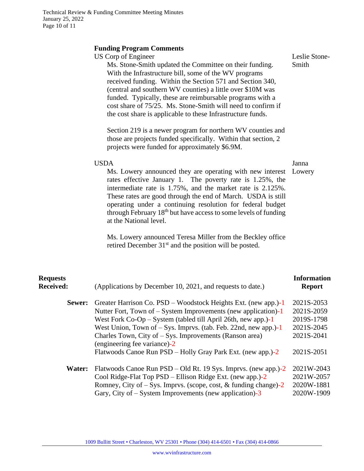# **Funding Program Comments**

|                                     | <b>Funding Program Comments</b><br>US Corp of Engineer<br>Ms. Stone-Smith updated the Committee on their funding.<br>With the Infrastructure bill, some of the WV programs<br>received funding. Within the Section 571 and Section 340,<br>(central and southern WV counties) a little over \$10M was<br>funded. Typically, these are reimbursable programs with a<br>cost share of 75/25. Ms. Stone-Smith will need to confirm if<br>the cost share is applicable to these Infrastructure funds.<br>Section 219 is a newer program for northern WV counties and<br>those are projects funded specifically. Within that section, 2<br>projects were funded for approximately \$6.9M.<br><b>USDA</b><br>Ms. Lowery announced they are operating with new interest<br>rates effective January 1. The poverty rate is 1.25%, the<br>intermediate rate is 1.75%, and the market rate is 2.125%.<br>These rates are good through the end of March. USDA is still<br>operating under a continuing resolution for federal budget<br>through February 18 <sup>th</sup> but have access to some levels of funding<br>at the National level.<br>Ms. Lowery announced Teresa Miller from the Beckley office<br>retired December 31 <sup>st</sup> and the position will be posted. | Leslie Stone-<br>Smith<br>Janna<br>Lowery                                        |
|-------------------------------------|------------------------------------------------------------------------------------------------------------------------------------------------------------------------------------------------------------------------------------------------------------------------------------------------------------------------------------------------------------------------------------------------------------------------------------------------------------------------------------------------------------------------------------------------------------------------------------------------------------------------------------------------------------------------------------------------------------------------------------------------------------------------------------------------------------------------------------------------------------------------------------------------------------------------------------------------------------------------------------------------------------------------------------------------------------------------------------------------------------------------------------------------------------------------------------------------------------------------------------------------------------------------|----------------------------------------------------------------------------------|
| <b>Requests</b><br><b>Received:</b> | (Applications by December 10, 2021, and requests to date.)                                                                                                                                                                                                                                                                                                                                                                                                                                                                                                                                                                                                                                                                                                                                                                                                                                                                                                                                                                                                                                                                                                                                                                                                             | <b>Information</b><br><b>Report</b>                                              |
| Sewer:                              | Greater Harrison Co. PSD – Woodstock Heights Ext. (new app.)-1<br>Nutter Fort, Town of $-$ System Improvements (new application) $-1$<br>West Fork $Co-Op-System$ (tabled till April 26th, new app.)-1<br>West Union, Town of $-$ Sys. Imprvs. (tab. Feb. 22nd, new app.)-1<br>Charles Town, City of – Sys. Improvements (Ranson area)<br>(engineering fee variance)-2<br>Flatwoods Canoe Run PSD – Holly Gray Park Ext. (new app.)-2                                                                                                                                                                                                                                                                                                                                                                                                                                                                                                                                                                                                                                                                                                                                                                                                                                  | 2021S-2053<br>2021S-2059<br>2019S-1798<br>2021S-2045<br>2021S-2041<br>2021S-2051 |
| Water:                              | Flatwoods Canoe Run PSD – Old Rt. 19 Sys. Imprvs. (new app.)-2<br>Cool Ridge-Flat Top PSD - Ellison Ridge Ext. (new app.)-2<br>$D_{\text{OMPROY}}$ City of $S_{\text{YQ}}$ Improve (seems goot $\ell$ funding shapes) 2                                                                                                                                                                                                                                                                                                                                                                                                                                                                                                                                                                                                                                                                                                                                                                                                                                                                                                                                                                                                                                                | 2021W-2043<br>2021W-2057<br>2020W/1881                                           |

Romney, City of – Sys. Imprvs. (scope, cost, & funding change)-2 2020W-1881 Gary, City of – System Improvements (new application)-3 2020W-1909